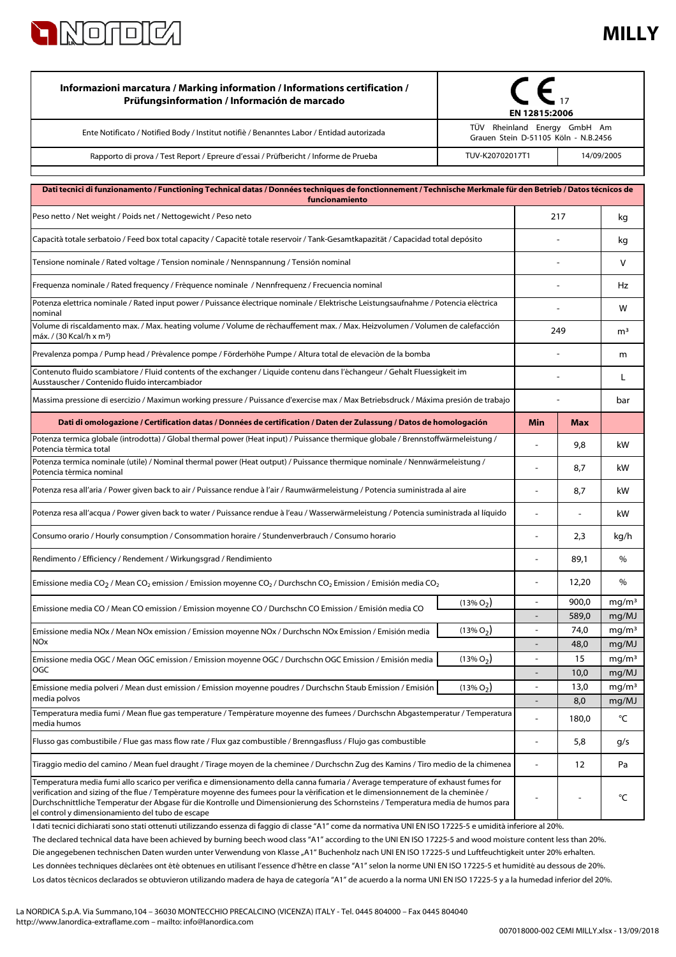

## **MILLY**

| Informazioni marcatura / Marking information / Informations certification /<br>Prüfungsinformation / Información de marcado                                                                                                                                                                                                                                                                                                                                   | EN 12815:2006<br>TÜV Rheinland Energy GmbH Am |                          |                |                            |
|---------------------------------------------------------------------------------------------------------------------------------------------------------------------------------------------------------------------------------------------------------------------------------------------------------------------------------------------------------------------------------------------------------------------------------------------------------------|-----------------------------------------------|--------------------------|----------------|----------------------------|
| Ente Notificato / Notified Body / Institut notifiè / Benanntes Labor / Entidad autorizada                                                                                                                                                                                                                                                                                                                                                                     | Grauen Stein D-51105 Köln - N.B.2456          |                          |                |                            |
| Rapporto di prova / Test Report / Epreure d'essai / Prüfbericht / Informe de Prueba                                                                                                                                                                                                                                                                                                                                                                           | TUV-K20702017T1<br>14/09/2005                 |                          |                |                            |
|                                                                                                                                                                                                                                                                                                                                                                                                                                                               |                                               |                          |                |                            |
| Dati tecnici di funzionamento / Functioning Technical datas / Données techniques de fonctionnement / Technische Merkmale für den Betrieb / Datos técnicos de<br>funcionamiento                                                                                                                                                                                                                                                                                |                                               |                          |                |                            |
| Peso netto / Net weight / Poids net / Nettogewicht / Peso neto                                                                                                                                                                                                                                                                                                                                                                                                | 217                                           |                          | kg             |                            |
| Capacità totale serbatoio / Feed box total capacity / Capacité totale reservoir / Tank-Gesamtkapazität / Capacidad total depósito                                                                                                                                                                                                                                                                                                                             |                                               |                          |                | kg                         |
| Tensione nominale / Rated voltage / Tension nominale / Nennspannung / Tensión nominal                                                                                                                                                                                                                                                                                                                                                                         |                                               |                          |                | v                          |
| Frequenza nominale / Rated frequency / Fréquence nominale / Nennfrequenz / Frecuencia nominal                                                                                                                                                                                                                                                                                                                                                                 |                                               |                          |                | Hz                         |
| Potenza elettrica nominale / Rated input power / Puissance électrique nominale / Elektrische Leistungsaufnahme / Potencia eléctrica<br>nominal                                                                                                                                                                                                                                                                                                                |                                               |                          |                | w                          |
| Volume di riscaldamento max. / Max. heating volume / Volume de réchauffement max. / Max. Heizvolumen / Volumen de calefacción<br>máx. / (30 Kcal/h x m <sup>3</sup> )                                                                                                                                                                                                                                                                                         |                                               | 249                      |                | m <sup>3</sup>             |
| Prevalenza pompa / Pump head / Prévalence pompe / Förderhöhe Pumpe / Altura total de elevaciòn de la bomba                                                                                                                                                                                                                                                                                                                                                    |                                               |                          |                | m                          |
| Contenuto fluido scambiatore / Fluid contents of the exchanger / Liquide contenu dans l'échangeur / Gehalt Fluessigkeit im<br>Ausstauscher / Contenido fluido intercambiador                                                                                                                                                                                                                                                                                  |                                               |                          |                | L                          |
| Massima pressione di esercizio / Maximun working pressure / Puissance d'exercise max / Max Betriebsdruck / Máxima presión de trabajo                                                                                                                                                                                                                                                                                                                          |                                               |                          |                | bar                        |
| Dati di omologazione / Certification datas / Données de certification / Daten der Zulassung / Datos de homologación                                                                                                                                                                                                                                                                                                                                           |                                               | <b>Min</b>               | <b>Max</b>     |                            |
| Potenza termica globale (introdotta) / Global thermal power (Heat input) / Puissance thermique globale / Brennstoffwärmeleistung /<br>Potencia térmica total                                                                                                                                                                                                                                                                                                  |                                               |                          | 9,8            | kW                         |
| Potenza termica nominale (utile) / Nominal thermal power (Heat output) / Puissance thermique nominale / Nennwärmeleistung /<br>Potencia térmica nominal                                                                                                                                                                                                                                                                                                       |                                               |                          | 8,7            | kW                         |
| Potenza resa all'aria / Power given back to air / Puissance rendue à l'air / Raumwärmeleistung / Potencia suministrada al aire                                                                                                                                                                                                                                                                                                                                |                                               | ä,                       | 8,7            | kW                         |
| Potenza resa all'acqua / Power given back to water / Puissance rendue à l'eau / Wasserwärmeleistung / Potencia suministrada al líquido                                                                                                                                                                                                                                                                                                                        |                                               |                          |                | kW                         |
| Consumo orario / Hourly consumption / Consommation horaire / Stundenverbrauch / Consumo horario                                                                                                                                                                                                                                                                                                                                                               |                                               | $\overline{a}$           | 2,3            | kg/h                       |
| Rendimento / Efficiency / Rendement / Wirkungsgrad / Rendimiento                                                                                                                                                                                                                                                                                                                                                                                              |                                               | $\overline{a}$           | 89,1           | $\%$                       |
| Emissione media CO <sub>2</sub> / Mean CO <sub>2</sub> emission / Emission moyenne CO <sub>2</sub> / Durchschn CO <sub>2</sub> Emission / Emisión media CO <sub>2</sub>                                                                                                                                                                                                                                                                                       |                                               | $\overline{\phantom{a}}$ | 12,20          | %                          |
| Emissione media CO / Mean CO emission / Emission moyenne CO / Durchschn CO Emission / Emisión media CO                                                                                                                                                                                                                                                                                                                                                        | $(13\% O_2)$                                  | $\overline{a}$           | 900,0<br>589,0 | mg/m <sup>3</sup><br>mg/MJ |
| Emissione media NOx / Mean NOx emission / Emission moyenne NOx / Durchschn NOx Emission / Emisión media                                                                                                                                                                                                                                                                                                                                                       | $(13\% O_2)$                                  | $\blacksquare$           | 74,0           | mq/m <sup>3</sup>          |
| NOx<br>$(13\% O_2)$<br>Emissione media OGC / Mean OGC emission / Emission moyenne OGC / Durchschn OGC Emission / Emisión media<br>OGC                                                                                                                                                                                                                                                                                                                         |                                               | $\overline{a}$           | 48,0<br>15     | mg/MJ<br>mg/m <sup>3</sup> |
|                                                                                                                                                                                                                                                                                                                                                                                                                                                               |                                               |                          | 10,0           | mg/MJ                      |
| Emissione media polveri / Mean dust emission / Emission moyenne poudres / Durchschn Staub Emission / Emisión<br>media polvos                                                                                                                                                                                                                                                                                                                                  | $(13\% O_2)$                                  | $\overline{\phantom{a}}$ | 13,0           | mg/m <sup>3</sup>          |
| Temperatura media fumi / Mean flue gas temperature / Température moyenne des fumees / Durchschn Abgastemperatur / Temperatura                                                                                                                                                                                                                                                                                                                                 |                                               |                          | 8,0<br>180,0   | mg/MJ<br>°C                |
| media humos<br>Flusso gas combustibile / Flue gas mass flow rate / Flux gaz combustible / Brenngasfluss / Flujo gas combustible                                                                                                                                                                                                                                                                                                                               |                                               | ä,                       | 5,8            | g/s                        |
| Tiraggio medio del camino / Mean fuel draught / Tirage moyen de la cheminee / Durchschn Zug des Kamins / Tiro medio de la chimenea                                                                                                                                                                                                                                                                                                                            |                                               |                          | 12             | Pa                         |
| Temperatura media fumi allo scarico per verifica e dimensionamento della canna fumaria / Average temperature of exhaust fumes for<br>verification and sizing of the flue / Température moyenne des fumees pour la vérification et le dimensionnement de la cheminée /<br>Durchschnittliche Temperatur der Abgase für die Kontrolle und Dimensionierung des Schornsteins / Temperatura media de humos para<br>el control y dimensionamiento del tubo de escape |                                               |                          |                | °C                         |

Los datos técnicos declarados se obtuvieron utilizando madera de haya de categoría "A1" de acuerdo a la norma UNI EN ISO 17225-5 y a la humedad inferior del 20%. Les données techniques déclarées ont été obtenues en utilisant l'essence d'hêtre en classe "A1" selon la norme UNI EN ISO 17225-5 et humidité au dessous de 20%. I dati tecnici dichiarati sono stati ottenuti utilizzando essenza di faggio di classe "A1" come da normativa UNI EN ISO 17225-5 e umidità inferiore al 20%. Die angegebenen technischen Daten wurden unter Verwendung von Klasse "A1" Buchenholz nach UNI EN ISO 17225-5 und Luftfeuchtigkeit unter 20% erhalten. The declared technical data have been achieved by burning beech wood class "A1" according to the UNI EN ISO 17225-5 and wood moisture content less than 20%.